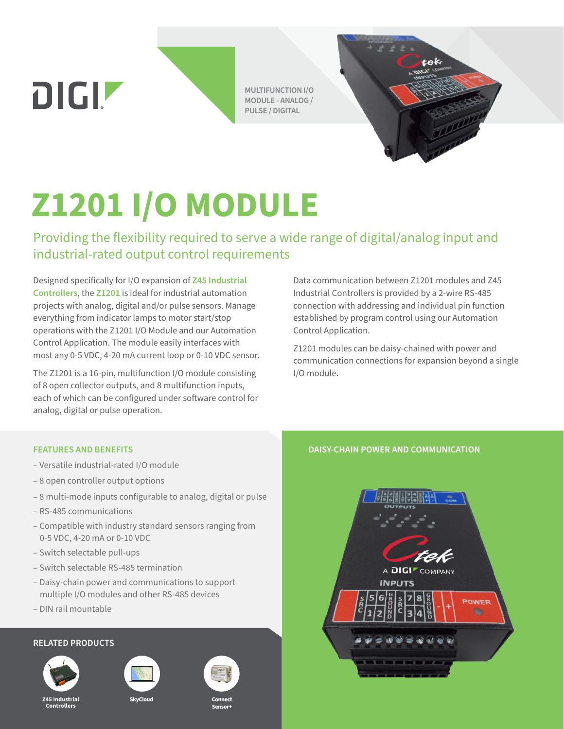DIGIZ

**MULTIFUNCTION I/O MODULE - ANALOG / PULSE / DIGITAL**



## **Z1201 I/O MODULE**

Providing the flexibility required to serve a wide range of digital/analog input and industrial-rated output control requirements

Designed specifically for I/O expansion of **[Z45 Industrial](https://www.digi.com/products/networking/infrastructure-management/sensor-connectivity/z45-industrial-controllers)  [Controllers](https://www.digi.com/products/networking/infrastructure-management/sensor-connectivity/z45-industrial-controllers)**, the **[Z1201](https://www.digi.com/products/networking/infrastructure-management/sensor-connectivity/z1201-module)** is ideal for industrial automation projects with analog, digital and/or pulse sensors. Manage everything from indicator lamps to motor start/stop operations with the Z1201 I/O Module and our Automation Control Application. The module easily interfaces with most any 0-5 VDC, 4-20 mA current loop or 0-10 VDC sensor.

The Z1201 is a 16-pin, multifunction I/O module consisting of 8 open collector outputs, and 8 multifunction inputs, each of which can be configured under software control for analog, digital or pulse operation.

Data communication between Z1201 modules and Z45 Industrial Controllers is provided by a 2-wire RS-485 connection with addressing and individual pin function established by program control using our Automation Control Application.

Z1201 modules can be daisy-chained with power and communication connections for expansion beyond a single I/O module.

- Versatile industrial-rated I/O module
- 8 open controller output options
- 8 multi-mode inputs configurable to analog, digital or pulse
- RS-485 communications
- Compatible with industry standard sensors ranging from 0-5 VDC, 4-20 mA or 0-10 VDC
- Switch selectable pull-ups
- Switch selectable RS-485 termination
- Daisy-chain power and communications to support multiple I/O modules and other RS-485 devices
- DIN rail mountable

## **RELATED PRODUCTS**



**Z45 Industrial Controllers**

**SkyClou** 



**Connect Sensor+**